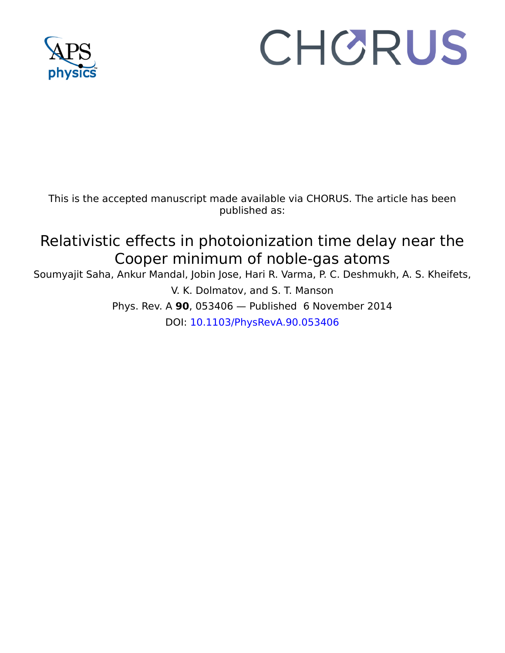

# CHORUS

This is the accepted manuscript made available via CHORUS. The article has been published as:

# Relativistic effects in photoionization time delay near the Cooper minimum of noble-gas atoms

Soumyajit Saha, Ankur Mandal, Jobin Jose, Hari R. Varma, P. C. Deshmukh, A. S. Kheifets, V. K. Dolmatov, and S. T. Manson Phys. Rev. A **90**, 053406 — Published 6 November 2014

DOI: [10.1103/PhysRevA.90.053406](http://dx.doi.org/10.1103/PhysRevA.90.053406)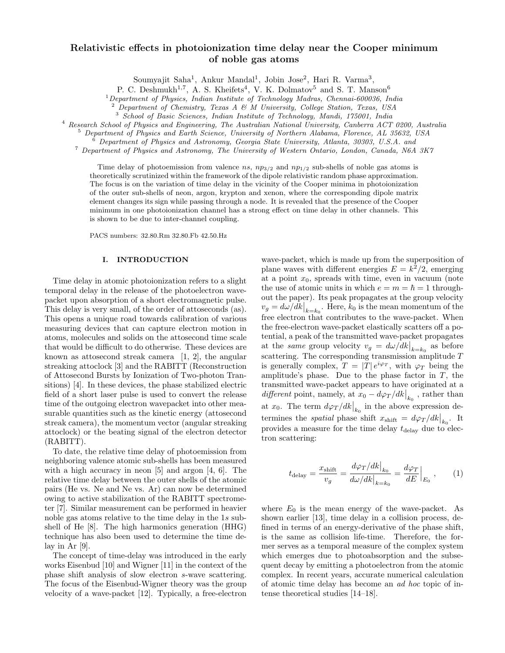# Relativistic effects in photoionization time delay near the Cooper minimum of noble gas atoms

Soumyajit Saha<sup>1</sup>, Ankur Mandal<sup>1</sup>, Jobin Jose<sup>2</sup>, Hari R. Varma<sup>3</sup>,

P. C. Deshmukh<sup>1,7</sup>, A. S. Kheifets<sup>4</sup>, V. K. Dolmatov<sup>5</sup> and S. T. Manson<sup>6</sup>

<sup>1</sup>Department of Physics, Indian Institute of Technology Madras, Chennai-600036, India

 $2$  Department of Chemistry, Texas A & M University, College Station, Texas, USA

<sup>3</sup> School of Basic Sciences, Indian Institute of Technology, Mandi, 175001, India

<sup>4</sup> Research School of Physics and Engineering, The Australian National University, Canberra ACT 0200, Australia

<sup>5</sup> Department of Physics and Earth Science, University of Northern Alabama, Florence, AL 35632, USA

<sup>6</sup> Department of Physics and Astronomy, Georgia State University, Atlanta, 30303, U.S.A. and

<sup>7</sup> Department of Physics and Astronomy, The University of Western Ontario, London, Canada, N6A 3K7

Time delay of photoemission from valence ns,  $np_{3/2}$  and  $np_{1/2}$  sub-shells of noble gas atoms is theoretically scrutinized within the framework of the dipole relativistic random phase approximation. The focus is on the variation of time delay in the vicinity of the Cooper minima in photoionization of the outer sub-shells of neon, argon, krypton and xenon, where the corresponding dipole matrix element changes its sign while passing through a node. It is revealed that the presence of the Cooper minimum in one photoionization channel has a strong effect on time delay in other channels. This is shown to be due to inter-channel coupling.

PACS numbers: 32.80.Rm 32.80.Fb 42.50.Hz

# I. INTRODUCTION

Time delay in atomic photoionization refers to a slight temporal delay in the release of the photoelectron wavepacket upon absorption of a short electromagnetic pulse. This delay is very small, of the order of attoseconds (as). This opens a unique road towards calibration of various measuring devices that can capture electron motion in atoms, molecules and solids on the attosecond time scale that would be difficult to do otherwise. These devices are known as attosecond streak camera  $[1, 2]$ , the angular streaking attoclock [3] and the RABITT (Reconstruction of Attosecond Bursts by Ionization of Two-photon Transitions) [4]. In these devices, the phase stabilized electric field of a short laser pulse is used to convert the release time of the outgoing electron wavepacket into other measurable quantities such as the kinetic energy (attosecond streak camera), the momentum vector (angular streaking attoclock) or the beating signal of the electron detector (RABITT).

To date, the relative time delay of photoemission from neighboring valence atomic sub-shells has been measured with a high accuracy in neon [5] and argon [4, 6]. The relative time delay between the outer shells of the atomic pairs (He vs. Ne and Ne vs. Ar) can now be determined owing to active stabilization of the RABITT spectrometer [7]. Similar measurement can be performed in heavier noble gas atoms relative to the time delay in the 1s subshell of He [8]. The high harmonics generation (HHG) technique has also been used to determine the time delay in Ar [9].

The concept of time-delay was introduced in the early works Eisenbud [10] and Wigner [11] in the context of the phase shift analysis of slow electron s-wave scattering. The focus of the Eisenbud-Wigner theory was the group velocity of a wave-packet [12]. Typically, a free-electron

wave-packet, which is made up from the superposition of plane waves with different energies  $E = k^2/2$ , emerging at a point  $x_0$ , spreads with time, even in vacuum (note the use of atomic units in which  $e = m = \hbar = 1$  throughout the paper). Its peak propagates at the group velocity  $v_g = d\omega/dk\big|_{k=k_0}$ . Here,  $k_0$  is the mean momentum of the free electron that contributes to the wave-packet. When the free-electron wave-packet elastically scatters off a potential, a peak of the transmitted wave-packet propagates at the *same* group velocity  $v_g = d\omega/dk|_{k=k_0}$  as before scattering. The corresponding transmission amplitude T is generally complex,  $T = |T| e^{i\varphi_T}$ , with  $\varphi_T$  being the amplitude's phase. Due to the phase factor in  $T$ , the transmitted wave-packet appears to have originated at a different point, namely, at  $x_0 - d\varphi_T/dk|_{k_0}$ , rather than at  $x_0$ . The term  $d\varphi_T/dk\big|_{k_0}$  in the above expression determines the *spatial* phase shift  $x_{\text{shift}} = d\varphi_T/dk\big|_{k_0}$ . It provides a measure for the time delay  $t_{\text{delay}}$  due to electron scattering:

$$
t_{\rm delay} = \frac{x_{\rm shift}}{v_g} = \frac{d\varphi_T/dk\big|_{k_0}}{d\omega/dk\big|_{k=k_0}} = \frac{d\varphi_T}{dE}\big|_{E_0} \,, \qquad (1)
$$

where  $E_0$  is the mean energy of the wave-packet. As shown earlier [13], time delay in a collision process, defined in terms of an energy-derivative of the phase shift, is the same as collision life-time. Therefore, the former serves as a temporal measure of the complex system which emerges due to photoabsorption and the subsequent decay by emitting a photoelectron from the atomic complex. In recent years, accurate numerical calculation of atomic time delay has become an ad hoc topic of intense theoretical studies [14–18].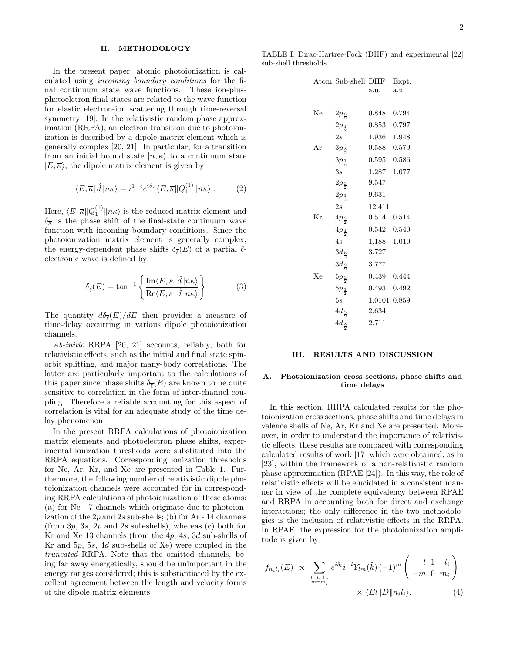### II. METHODOLOGY

In the present paper, atomic photoionization is calculated using incoming boundary conditions for the final continuum state wave functions. These ion-plusphotoelctron final states are related to the wave function for elastic electron-ion scattering through time-reversal symmetry [19]. In the relativistic random phase approximation (RRPA), an electron transition due to photoionization is described by a dipole matrix element which is generally complex [20, 21]. In particular, for a transition from an initial bound state  $|n, \kappa\rangle$  to a continuum state  $|E,\overline{\kappa}\rangle$ , the dipole matrix element is given by

$$
\langle E, \overline{\kappa} | \hat{d} | n\kappa \rangle = i^{1 - \overline{\ell}} e^{i\delta_{\overline{\kappa}}} \langle E, \overline{\kappa} | |Q_1^{(1)}| | n\kappa \rangle . \tag{2}
$$

Here,  $\langle E, \overline{\kappa} || Q_1^{(1)} || n\kappa \rangle$  is the reduced matrix element and  $\delta_{\overline{k}}$  is the phase shift of the final-state continuum wave function with incoming boundary conditions. Since the photoionization matrix element is generally complex, the energy-dependent phase shifts  $\delta_{\overline{\ell}}(E)$  of a partial  $\ell$ electronic wave is defined by

$$
\delta_{\bar{\ell}}(E) = \tan^{-1} \left\{ \frac{\operatorname{Im} \langle E, \overline{\kappa} | \hat{d} | n\kappa \rangle}{\operatorname{Re} \langle E, \overline{\kappa} | \hat{d} | n\kappa \rangle} \right\} \tag{3}
$$

The quantity  $d\delta_{\overline{\ell}}(E)/dE$  then provides a measure of time-delay occurring in various dipole photoionization channels.

Ab-initio RRPA [20, 21] accounts, reliably, both for relativistic effects, such as the initial and final state spinorbit splitting, and major many-body correlations. The latter are particularly important to the calculations of this paper since phase shifts  $\delta_{\overline{\ell}}(E)$  are known to be quite sensitive to correlation in the form of inter-channel coupling. Therefore a reliable accounting for this aspect of correlation is vital for an adequate study of the time delay phenomenon.

In the present RRPA calculations of photoionization matrix elements and photoelectron phase shifts, experimental ionization thresholds were substituted into the RRPA equations. Corresponding ionization thresholds for Ne, Ar, Kr, and Xe are presented in Table 1. Furthermore, the following number of relativistic dipole photoionization channels were accounted for in corresponding RRPA calculations of photoionization of these atoms: (a) for Ne - 7 channels which originate due to photoionization of the  $2p$  and  $2s$  sub-shells; (b) for Ar - 14 channels (from  $3p$ ,  $3s$ ,  $2p$  and  $2s$  sub-shells), whereas (c) both for Kr and Xe 13 channels (from the 4p, 4s, 3d sub-shells of Kr and 5p, 5s, 4d sub-shells of Xe) were coupled in the truncated RRPA. Note that the omitted channels, being far away energetically, should be unimportant in the energy ranges considered; this is substantiated by the excellent agreement between the length and velocity forms of the dipole matrix elements.

TABLE I: Dirac-Hartree-Fock (DHF) and experimental [22] sub-shell thresholds

|    | Atom Sub-shell DHF |              | Expt. |
|----|--------------------|--------------|-------|
|    |                    | a.u.         | a.u.  |
|    |                    |              |       |
| Ne | $2p_{\frac{3}{2}}$ | 0.848        | 0.794 |
|    | $2p_{\frac{1}{2}}$ | 0.853        | 0.797 |
|    | $_{2s}$            | $1.936\,$    | 1.948 |
| Ar | $3p_{\frac{3}{2}}$ | 0.588        | 0.579 |
|    | $3p_{\frac{1}{2}}$ | 0.595        | 0.586 |
|    | 3s                 | $1.287\,$    | 1.077 |
|    | $2p_{\frac{3}{2}}$ | 9.547        |       |
|    | $2p_{\frac{1}{2}}$ | 9.631        |       |
|    | $_{2s}$            | 12.411       |       |
| Kr | $4p_{\frac{3}{2}}$ | 0.514        | 0.514 |
|    | $4p_{\frac{1}{2}}$ | $0.542\,$    | 0.540 |
|    | 4s                 | 1.188        | 1.010 |
|    | $3d_{\frac{5}{2}}$ | 3.727        |       |
|    | $3d_{\frac{3}{2}}$ | 3.777        |       |
| Xе | $5p_{\frac{3}{2}}$ | 0.439        | 0.444 |
|    | $5p_{\frac{1}{2}}$ | 0.493        | 0.492 |
|    | 5s                 | 1.0101 0.859 |       |
|    | $4d_{\frac{5}{2}}$ | 2.634        |       |
|    | $4d_{\frac{3}{2}}$ | 2.711        |       |

## III. RESULTS AND DISCUSSION

# A. Photoionization cross-sections, phase shifts and time delays

In this section, RRPA calculated results for the photoionization cross sections, phase shifts and time delays in valence shells of Ne, Ar, Kr and Xe are presented. Moreover, in order to understand the importance of relativistic effects, these results are compared with corresponding calculated results of work [17] which were obtained, as in [23], within the framework of a non-relativistic random phase approximation (RPAE [24]). In this way, the role of relativistic effects will be elucidated in a consistent manner in view of the complete equivalency between RPAE and RRPA in accounting both for direct and exchange interactions; the only difference in the two methodologies is the inclusion of relativistic effects in the RRPA. In RPAE, the expression for the photoionization amplitude is given by

$$
f_{n_il_i}(E) \propto \sum_{\substack{l=l_i\pm 1\\m=m_i}} e^{i\delta_l} i^{-l} Y_{lm}(\hat{k}) (-1)^m \begin{pmatrix} l & 1 & l_i\\-m & 0 & m_i \end{pmatrix}
$$

$$
\times \langle El \| D \| n_il_i \rangle.
$$
 (4)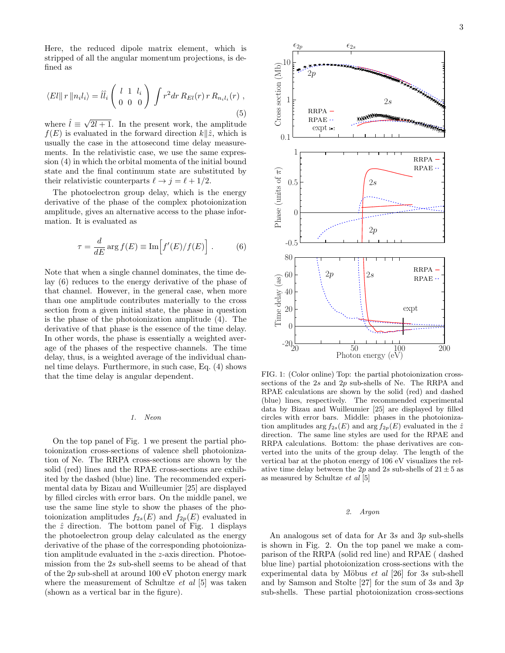Here, the reduced dipole matrix element, which is stripped of all the angular momentum projections, is defined as

$$
\langle EI \| r \| n_i l_i \rangle = \hat{ll}_i \begin{pmatrix} l & 1 & l_i \\ 0 & 0 & 0 \end{pmatrix} \int r^2 dr R_{El}(r) r R_{n_i l_i}(r) ,
$$
\n(5)

where  $\hat{l} \equiv \sqrt{\frac{2}{\pi}}$  $2l + 1$ . In the present work, the amplitude  $f(E)$  is evaluated in the forward direction  $k\|\hat{z}$ , which is usually the case in the attosecond time delay measurements. In the relativistic case, we use the same expression (4) in which the orbital momenta of the initial bound state and the final continuum state are substituted by their relativistic counterparts  $\ell \to j = \ell + 1/2$ .

The photoelectron group delay, which is the energy derivative of the phase of the complex photoionization amplitude, gives an alternative access to the phase information. It is evaluated as

$$
\tau = \frac{d}{dE} \arg f(E) \equiv \text{Im} \Big[ f'(E)/f(E) \Big] . \tag{6}
$$

Note that when a single channel dominates, the time delay (6) reduces to the energy derivative of the phase of that channel. However, in the general case, when more than one amplitude contributes materially to the cross section from a given initial state, the phase in question is the phase of the photoionization amplitude (4). The derivative of that phase is the essence of the time delay. In other words, the phase is essentially a weighted average of the phases of the respective channels. The time delay, thus, is a weighted average of the individual channel time delays. Furthermore, in such case, Eq. (4) shows that the time delay is angular dependent.

## 1. Neon

On the top panel of Fig. 1 we present the partial photoionization cross-sections of valence shell photoionization of Ne. The RRPA cross-sections are shown by the solid (red) lines and the RPAE cross-sections are exhibited by the dashed (blue) line. The recommended experimental data by Bizau and Wuilleumier [25] are displayed by filled circles with error bars. On the middle panel, we use the same line style to show the phases of the photoionization amplitudes  $f_{2s}(E)$  and  $f_{2p}(E)$  evaluated in the  $\hat{z}$  direction. The bottom panel of Fig. 1 displays the photoelectron group delay calculated as the energy derivative of the phase of the corresponding photoionization amplitude evaluated in the z-axis direction. Photoemission from the 2s sub-shell seems to be ahead of that of the 2p sub-shell at around 100 eV photon energy mark where the measurement of Schultze *et al* [5] was taken (shown as a vertical bar in the figure).



FIG. 1: (Color online) Top: the partial photoionization crosssections of the 2s and 2p sub-shells of Ne. The RRPA and RPAE calculations are shown by the solid (red) and dashed (blue) lines, respectively. The recommended experimental data by Bizau and Wuilleumier [25] are displayed by filled circles with error bars. Middle: phases in the photoionization amplitudes arg  $f_{2s}(E)$  and arg  $f_{2p}(E)$  evaluated in the  $\hat{z}$ direction. The same line styles are used for the RPAE and RRPA calculations. Bottom: the phase derivatives are converted into the units of the group delay. The length of the vertical bar at the photon energy of 106 eV visualizes the relative time delay between the 2p and 2s sub-shells of  $21 \pm 5$  as as measured by Schultze et al [5]

# 2. Argon

An analogous set of data for Ar 3s and 3p sub-shells is shown in Fig. 2. On the top panel we make a comparison of the RRPA (solid red line) and RPAE ( dashed blue line) partial photoionization cross-sections with the experimental data by Möbus *et al* [26] for 3s sub-shell and by Samson and Stolte [27] for the sum of 3s and 3p sub-shells. These partial photoionization cross-sections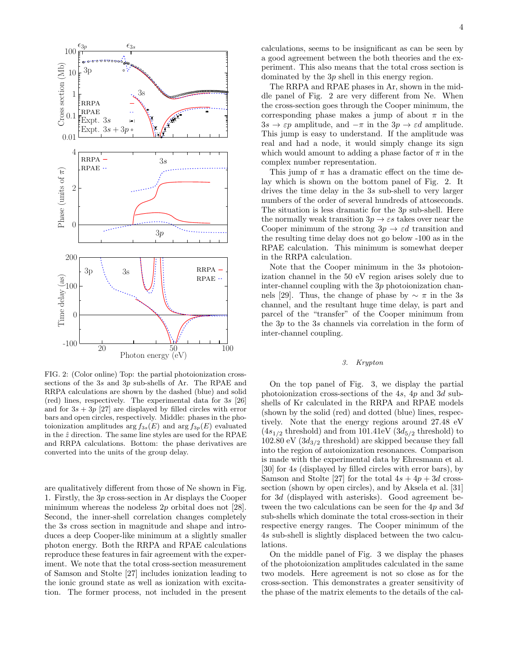

FIG. 2: (Color online) Top: the partial photoionization crosssections of the 3s and 3p sub-shells of Ar. The RPAE and RRPA calculations are shown by the dashed (blue) and solid (red) lines, respectively. The experimental data for 3s [26] and for  $3s + 3p$  [27] are displayed by filled circles with error bars and open circles, respectively. Middle: phases in the photoionization amplitudes  $\arg f_{3s}(E)$  and  $\arg f_{3p}(E)$  evaluated in the  $\hat{z}$  direction. The same line styles are used for the RPAE and RRPA calculations. Bottom: the phase derivatives are converted into the units of the group delay.

are qualitatively different from those of Ne shown in Fig. 1. Firstly, the 3p cross-section in Ar displays the Cooper minimum whereas the nodeless  $2p$  orbital does not [28]. Second, the inner-shell correlation changes completely the 3s cross section in magnitude and shape and introduces a deep Cooper-like minimum at a slightly smaller photon energy. Both the RRPA and RPAE calculations reproduce these features in fair agreement with the experiment. We note that the total cross-section measurement of Samson and Stolte [27] includes ionization leading to the ionic ground state as well as ionization with excitation. The former process, not included in the present

calculations, seems to be insignificant as can be seen by a good agreement between the both theories and the experiment. This also means that the total cross section is dominated by the 3p shell in this energy region.

The RRPA and RPAE phases in Ar, shown in the middle panel of Fig. 2 are very different from Ne. When the cross-section goes through the Cooper minimum, the corresponding phase makes a jump of about  $\pi$  in the  $3s \rightarrow \varepsilon p$  amplitude, and  $-\pi$  in the  $3p \rightarrow \varepsilon d$  amplitude. This jump is easy to understand. If the amplitude was real and had a node, it would simply change its sign which would amount to adding a phase factor of  $\pi$  in the complex number representation.

This jump of  $\pi$  has a dramatic effect on the time delay which is shown on the bottom panel of Fig. 2. It drives the time delay in the 3s sub-shell to very larger numbers of the order of several hundreds of attoseconds. The situation is less dramatic for the 3p sub-shell. Here the normally weak transition  $3p \rightarrow \varepsilon s$  takes over near the Cooper minimum of the strong  $3p \rightarrow \varepsilon d$  transition and the resulting time delay does not go below -100 as in the RPAE calculation. This minimum is somewhat deeper in the RRPA calculation.

Note that the Cooper minimum in the 3s photoionization channel in the 50 eV region arises solely due to inter-channel coupling with the 3p photoionization channels [29]. Thus, the change of phase by  $\sim \pi$  in the 3s channel, and the resultant huge time delay, is part and parcel of the "transfer" of the Cooper minimum from the 3p to the 3s channels via correlation in the form of inter-channel coupling.

# 3. Krypton

On the top panel of Fig. 3, we display the partial photoionization cross-sections of the 4s, 4p and 3d subshells of Kr calculated in the RRPA and RPAE models (shown by the solid (red) and dotted (blue) lines, respectively. Note that the energy regions around 27.48 eV  $(4s_{1/2}$  threshold) and from 101.41eV  $(3d_{5/2}$  threshold) to 102.80 eV  $(3d_{3/2}$  threshold) are skipped because they fall into the region of autoionization resonances. Comparison is made with the experimental data by Ehresmann et al. [30] for 4s (displayed by filled circles with error bars), by Samson and Stolte [27] for the total  $4s + 4p + 3d$  crosssection (shown by open circles), and by Aksela et al. [31] for 3d (displayed with asterisks). Good agreement between the two calculations can be seen for the 4p and 3d sub-shells which dominate the total cross-section in their respective energy ranges. The Cooper minimum of the 4s sub-shell is slightly displaced between the two calculations.

On the middle panel of Fig. 3 we display the phases of the photoionization amplitudes calculated in the same two models. Here agreement is not so close as for the cross-section. This demonstrates a greater sensitivity of the phase of the matrix elements to the details of the cal-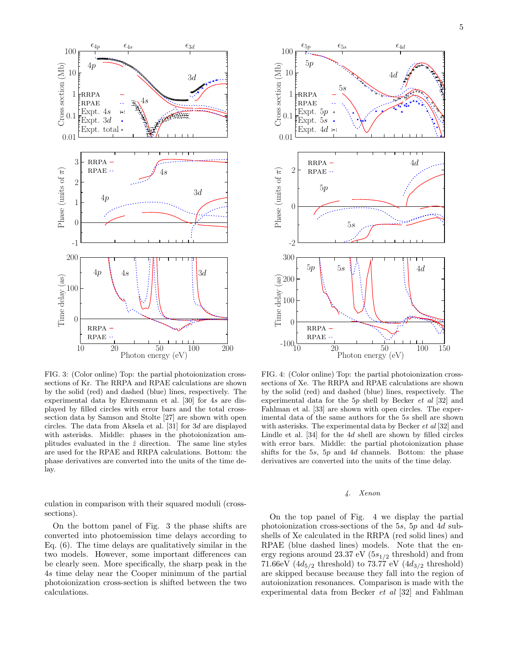

FIG. 3: (Color online) Top: the partial photoionization crosssections of Kr. The RRPA and RPAE calculations are shown by the solid (red) and dashed (blue) lines, respectively. The experimental data by Ehresmann et al. [30] for 4s are displayed by filled circles with error bars and the total crosssection data by Samson and Stolte [27] are shown with open circles. The data from Aksela et al. [31] for 3d are displayed with asterisks. Middle: phases in the photoionization amplitudes evaluated in the  $\hat{z}$  direction. The same line styles are used for the RPAE and RRPA calculations. Bottom: the phase derivatives are converted into the units of the time delay.

culation in comparison with their squared moduli (crosssections).

On the bottom panel of Fig. 3 the phase shifts are converted into photoemission time delays according to Eq. (6). The time delays are qualitatively similar in the two models. However, some important differences can be clearly seen. More specifically, the sharp peak in the 4s time delay near the Cooper minimum of the partial photoionization cross-section is shifted between the two calculations.



FIG. 4: (Color online) Top: the partial photoionization crosssections of Xe. The RRPA and RPAE calculations are shown by the solid (red) and dashed (blue) lines, respectively. The experimental data for the 5p shell by Becker et al [32] and Fahlman et al. [33] are shown with open circles. The experimental data of the same authors for the 5s shell are shown with asterisks. The experimental data by Becker et al [32] and Lindle et al. [34] for the 4d shell are shown by filled circles with error bars. Middle: the partial photoionization phase shifts for the 5s, 5p and 4d channels. Bottom: the phase derivatives are converted into the units of the time delay.

# 4. Xenon

On the top panel of Fig. 4 we display the partial photoionization cross-sections of the 5s, 5p and 4d subshells of Xe calculated in the RRPA (red solid lines) and RPAE (blue dashed lines) models. Note that the energy regions around 23.37 eV (5 $s_{1/2}$  threshold) and from 71.66eV ( $4d_{5/2}$  threshold) to 73.77 eV ( $4d_{3/2}$  threshold) are skipped because because they fall into the region of autoionization resonances. Comparison is made with the experimental data from Becker et al [32] and Fahlman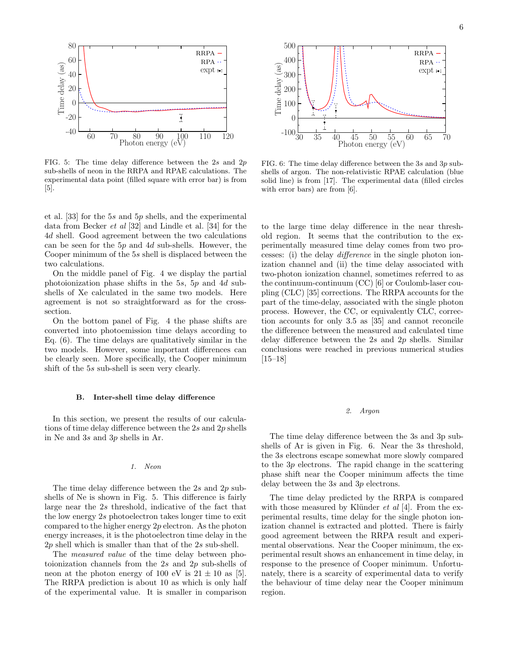

FIG. 5: The time delay difference between the  $2s$  and  $2p$ sub-shells of neon in the RRPA and RPAE calculations. The experimental data point (filled square with error bar) is from [5].

et al. [33] for the 5s and 5p shells, and the experimental data from Becker et al [32] and Lindle et al. [34] for the 4d shell. Good agreement between the two calculations can be seen for the  $5p$  and  $4d$  sub-shells. However, the Cooper minimum of the 5s shell is displaced between the two calculations.

On the middle panel of Fig. 4 we display the partial photoionization phase shifts in the 5s, 5p and 4d subshells of Xe calculated in the same two models. Here agreement is not so straightforward as for the crosssection.

On the bottom panel of Fig. 4 the phase shifts are converted into photoemission time delays according to Eq. (6). The time delays are qualitatively similar in the two models. However, some important differences can be clearly seen. More specifically, the Cooper minimum shift of the 5s sub-shell is seen very clearly.

# B. Inter-shell time delay difference

In this section, we present the results of our calculations of time delay difference between the 2s and 2p shells in Ne and 3s and 3p shells in Ar.

# 1. Neon

The time delay difference between the  $2s$  and  $2p$  subshells of Ne is shown in Fig. 5. This difference is fairly large near the 2s threshold, indicative of the fact that the low energy 2s photoelectron takes longer time to exit compared to the higher energy  $2p$  electron. As the photon energy increases, it is the photoelectron time delay in the  $2p$  shell which is smaller than that of the  $2s$  sub-shell.

The measured value of the time delay between photoionization channels from the 2s and 2p sub-shells of neon at the photon energy of 100 eV is  $21 \pm 10$  as [5]. The RRPA prediction is about 10 as which is only half of the experimental value. It is smaller in comparison



FIG. 6: The time delay difference between the 3s and 3p subshells of argon. The non-relativistic RPAE calculation (blue solid line) is from [17]. The experimental data (filled circles with error bars) are from [6].

to the large time delay difference in the near threshold region. It seems that the contribution to the experimentally measured time delay comes from two processes: (i) the delay difference in the single photon ionization channel and (ii) the time delay associated with two-photon ionization channel, sometimes referred to as the continuum-continuum (CC) [6] or Coulomb-laser coupling (CLC) [35] corrections. The RRPA accounts for the part of the time-delay, associated with the single photon process. However, the CC, or equivalently CLC, correction accounts for only 3.5 as [35] and cannot reconcile the difference between the measured and calculated time delay difference between the  $2s$  and  $2p$  shells. Similar conclusions were reached in previous numerical studies [15–18]

#### 2. Argon

The time delay difference between the 3s and 3p subshells of Ar is given in Fig. 6. Near the 3s threshold, the 3s electrons escape somewhat more slowly compared to the 3p electrons. The rapid change in the scattering phase shift near the Cooper minimum affects the time delay between the 3s and 3p electrons.

The time delay predicted by the RRPA is compared with those measured by Klünder  $et \ al \ [4]$ . From the experimental results, time delay for the single photon ionization channel is extracted and plotted. There is fairly good agreement between the RRPA result and experimental observations. Near the Cooper minimum, the experimental result shows an enhancement in time delay, in response to the presence of Cooper minimum. Unfortunately, there is a scarcity of experimental data to verify the behaviour of time delay near the Cooper minimum region.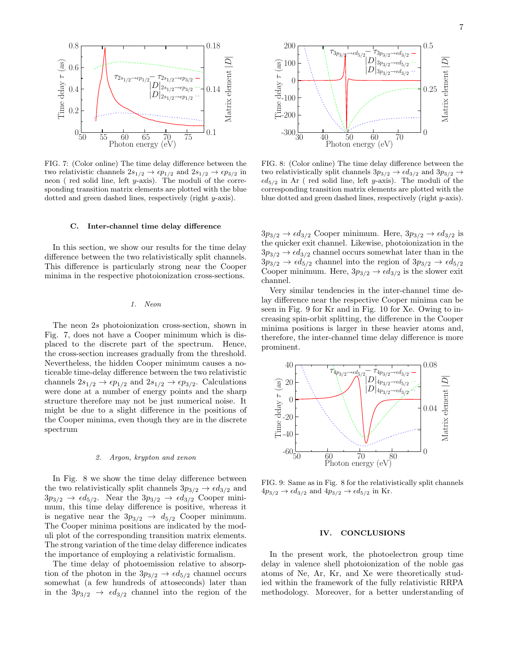

FIG. 7: (Color online) The time delay difference between the two relativistic channels  $2s_{1/2} \rightarrow \epsilon p_{1/2}$  and  $2s_{1/2} \rightarrow \epsilon p_{3/2}$  in neon ( red solid line, left y-axis). The moduli of the corresponding transition matrix elements are plotted with the blue dotted and green dashed lines, respectively (right y-axis).

# C. Inter-channel time delay difference

In this section, we show our results for the time delay difference between the two relativistically split channels. This difference is particularly strong near the Cooper minima in the respective photoionization cross-sections.

#### 1. Neon

The neon 2s photoionization cross-section, shown in Fig. 7, does not have a Cooper minimum which is displaced to the discrete part of the spectrum. Hence, the cross-section increases gradually from the threshold. Nevertheless, the hidden Cooper minimum causes a noticeable time-delay difference between the two relativistic channels  $2s_{1/2} \rightarrow \epsilon p_{1/2}$  and  $2s_{1/2} \rightarrow \epsilon p_{3/2}$ . Calculations were done at a number of energy points and the sharp structure therefore may not be just numerical noise. It might be due to a slight difference in the positions of the Cooper minima, even though they are in the discrete spectrum

#### 2. Argon, krypton and xenon

In Fig. 8 we show the time delay difference between the two relativistically split channels  $3p_{3/2} \rightarrow \epsilon d_{3/2}$  and  $3p_{3/2} \rightarrow \epsilon d_{5/2}$ . Near the  $3p_{3/2} \rightarrow \epsilon d_{3/2}$  Cooper minimum, this time delay difference is positive, whereas it is negative near the  $3p_{3/2} \rightarrow d_{5/2}$  Cooper minimum. The Cooper minima positions are indicated by the moduli plot of the corresponding transition matrix elements. The strong variation of the time delay difference indicates the importance of employing a relativistic formalism.

The time delay of photoemission relative to absorption of the photon in the  $3p_{3/2} \rightarrow \epsilon d_{5/2}$  channel occurs somewhat (a few hundreds of attoseconds) later than in the  $3p_{3/2} \rightarrow \epsilon d_{3/2}$  channel into the region of the



FIG. 8: (Color online) The time delay difference between the two relativistically split channels  $3p_{3/2} \rightarrow \epsilon d_{3/2}$  and  $3p_{3/2} \rightarrow$  $\epsilon d_{5/2}$  in Ar (red solid line, left y-axis). The moduli of the corresponding transition matrix elements are plotted with the blue dotted and green dashed lines, respectively (right y-axis).

 $3p_{3/2} \rightarrow \epsilon d_{3/2}$  Cooper minimum. Here,  $3p_{3/2} \rightarrow \epsilon d_{3/2}$  is the quicker exit channel. Likewise, photoionization in the  $3p_{3/2} \rightarrow \epsilon d_{3/2}$  channel occurs somewhat later than in the  $3p_{3/2} \rightarrow \epsilon d_{5/2}$  channel into the region of  $3p_{3/2} \rightarrow \epsilon d_{5/2}$ Cooper minimum. Here,  $3p_{3/2} \rightarrow \epsilon d_{3/2}$  is the slower exit channel.

Very similar tendencies in the inter-channel time delay difference near the respective Cooper minima can be seen in Fig. 9 for Kr and in Fig. 10 for Xe. Owing to increasing spin-orbit splitting, the difference in the Cooper minima positions is larger in these heavier atoms and, therefore, the inter-channel time delay difference is more prominent.



FIG. 9: Same as in Fig. 8 for the relativistically split channels  $4p_{3/2} \rightarrow \epsilon d_{3/2}$  and  $4p_{3/2} \rightarrow \epsilon d_{5/2}$  in Kr.

#### IV. CONCLUSIONS

In the present work, the photoelectron group time delay in valence shell photoionization of the noble gas atoms of Ne, Ar, Kr, and Xe were theoretically studied within the framework of the fully relativistic RRPA methodology. Moreover, for a better understanding of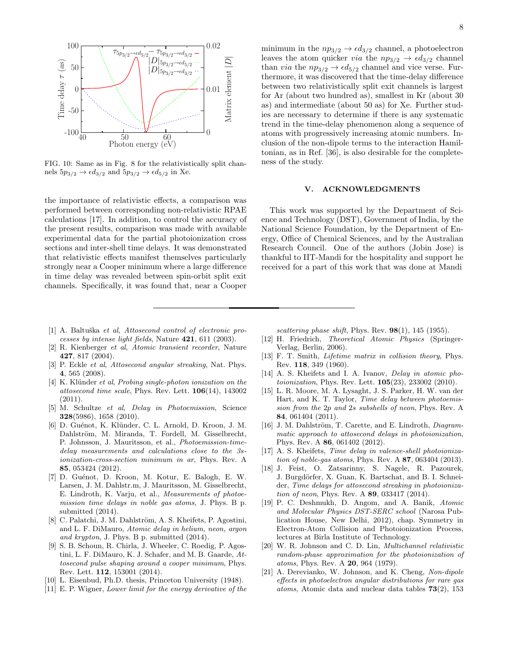

FIG. 10: Same as in Fig. 8 for the relativistically split channels  $5p_{3/2} \rightarrow \epsilon d_{3/2}$  and  $5p_{3/2} \rightarrow \epsilon d_{5/2}$  in Xe.

the importance of relativistic effects, a comparison was performed between corresponding non-relativistic RPAE calculations [17]. In addition, to control the accuracy of the present results, comparison was made with available experimental data for the partial photoionization cross sections and inter-shell time delays. It was demonstrated that relativistic effects manifest themselves particularly strongly near a Cooper minimum where a large difference in time delay was revealed between spin-orbit split exit channels. Specifically, it was found that, near a Cooper

- [1] A. Baltuška et al, Attosecond control of electronic processes by intense light fields, Nature 421, 611 (2003).
- [2] R. Kienberger et al, Atomic transient recorder, Nature 427, 817 (2004).
- [3] P. Eckle et al, Attosecond angular streaking, Nat. Phys. 4, 565 (2008).
- [4] K. Klünder *et al, Probing single-photon ionization on the* attosecond time scale, Phys. Rev. Lett.  $106(14)$ , 143002 (2011).
- [5] M. Schultze et al, Delay in Photoemission, Science 328(5986), 1658 (2010).
- [6] D. Guénot, K. Klünder, C. L. Arnold, D. Kroon, J. M. Dahlström, M. Miranda, T. Fordell, M. Gisselbrecht, P. Johnsson, J. Mauritsson, et al., Photoemission-timedelay measurements and calculations close to the 3sionization-cross-section minimum in ar, Phys. Rev. A 85, 053424 (2012).
- [7] D. Guénot, D. Kroon, M. Kotur, E. Balogh, E. W. Larsen, J. M. Dahlstr.m, J. Mauritsson, M. Gisselbrecht, E. Lindroth, K. Varju, et al., Measurements of photoemission time delays in noble gas atoms, J. Phys. B p. submitted (2014).
- [8] C. Palatchi, J. M. Dahlström, A. S. Kheifets, P. Agostini, and L. F. DiMauro, Atomic delay in helium, neon, argon and krypton, J. Phys. B p. submitted (2014).
- [9] S. B. Schoun, R. Chirla, J. Wheeler, C. Roedig, P. Agostini, L. F. DiMauro, K. J. Schafer, and M. B. Gaarde, Attosecond pulse shaping around a cooper minimum, Phys. Rev. Lett. 112, 153001 (2014).
- [10] L. Eisenbud, Ph.D. thesis, Princeton University (1948).
- [11] E. P. Wigner, Lower limit for the energy derivative of the

minimum in the  $np_{3/2} \rightarrow \epsilon d_{3/2}$  channel, a photoelectron leaves the atom quicker *via* the  $np_{3/2} \rightarrow \epsilon d_{3/2}$  channel than *via* the  $np_{3/2} \rightarrow \epsilon d_{5/2}$  channel and vice verse. Furthermore, it was discovered that the time-delay difference between two relativistically split exit channels is largest for Ar (about two hundred as), smallest in Kr (about 30 as) and intermediate (about 50 as) for Xe. Further studies are necessary to determine if there is any systematic trend in the time-delay phenomenon along a sequence of atoms with progressively increasing atomic numbers. Inclusion of the non-dipole terms to the interaction Hamiltonian, as in Ref. [36], is also desirable for the completeness of the study.

# V. ACKNOWLEDGMENTS

This work was supported by the Department of Science and Technology (DST), Government of India, by the National Science Foundation, by the Department of Energy, Office of Chemical Sciences, and by the Australian Research Council. One of the authors (Jobin Jose) is thankful to IIT-Mandi for the hospitality and support he received for a part of this work that was done at Mandi

scattering phase shift, Phys. Rev.  $98(1)$ , 145 (1955).

- [12] H. Friedrich, Theoretical Atomic Physics (Springer-Verlag, Berlin, 2006).
- [13] F. T. Smith, Lifetime matrix in collision theory, Phys. Rev. 118, 349 (1960).
- [14] A. S. Kheifets and I. A. Ivanov, *Delay in atomic pho*toionization, Phys. Rev. Lett. 105(23), 233002 (2010).
- [15] L. R. Moore, M. A. Lysaght, J. S. Parker, H. W. van der Hart, and K. T. Taylor, Time delay between photoemission from the 2p and 2s subshells of neon, Phys. Rev. A 84, 061404 (2011).
- [16] J. M. Dahlström, T. Carette, and E. Lindroth, Diagrammatic approach to attosecond delays in photoionization, Phys. Rev. A 86, 061402 (2012).
- [17] A. S. Kheifets, *Time delay in valence-shell photoioniza*tion of noble-gas atoms, Phys. Rev. A 87, 063404 (2013).
- [18] J. Feist, O. Zatsarinny, S. Nagele, R. Pazourek, J. Burgdörfer, X. Guan, K. Bartschat, and B. I. Schneider, Time delays for attosecond streaking in photoionization of neon, Phys. Rev. A 89, 033417 (2014).
- [19] P. C. Deshmukh, D. Angom, and A. Banik, Atomic and Molecular Physics DST-SERC school (Narosa Publication House, New Delhi, 2012), chap. Symmetry in Electron-Atom Collision and Photoionization Process, lectures at Birla Institute of Technology.
- [20] W. R. Johnson and C. D. Lin, Multichannel relativistic random-phase approximation for the photoionization of atoms, Phys. Rev. A 20, 964 (1979).
- [21] A. Derevianko, W. Johnson, and K. Cheng, Non-dipole effects in photoelectron angular distributions for rare gas atoms, Atomic data and nuclear data tables 73(2), 153